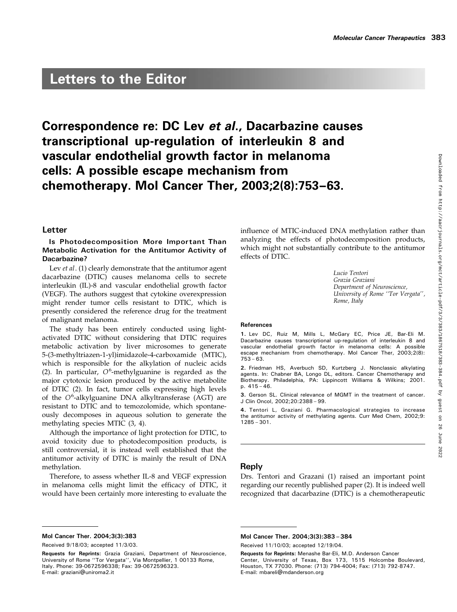# Letters to the Editor

# Correspondence re: DC Lev et al., Dacarbazine causes transcriptional up-regulation of interleukin 8 and vascular endothelial growth factor in melanoma cells: A possible escape mechanism from chemotherapy. Mol Cancer Ther, 2003;2(8):753–63.

## Letter

# Is Photodecomposition More Important Than Metabolic Activation for the Antitumor Activity of Dacarbazine?

Lev et al. (1) clearly demonstrate that the antitumor agent dacarbazine (DTIC) causes melanoma cells to secrete interleukin (IL)-8 and vascular endothelial growth factor (VEGF). The authors suggest that cytokine overexpression might render tumor cells resistant to DTIC, which is presently considered the reference drug for the treatment of malignant melanoma.

The study has been entirely conducted using lightactivated DTIC without considering that DTIC requires metabolic activation by liver microsomes to generate 5-(3-methyltriazen-1-yl)imidazole-4-carboxamide (MTIC), which is responsible for the alkylation of nucleic acids (2). In particular,  $O^6$ -methylguanine is regarded as the major cytotoxic lesion produced by the active metabolite of DTIC (2). In fact, tumor cells expressing high levels of the O<sup>6</sup>-alkylguanine DNA alkyltransferase (AGT) are resistant to DTIC and to temozolomide, which spontaneously decomposes in aqueous solution to generate the methylating species MTIC (3, 4).

Although the importance of light protection for DTIC, to avoid toxicity due to photodecomposition products, is still controversial, it is instead well established that the antitumor activity of DTIC is mainly the result of DNA methylation.

Therefore, to assess whether IL-8 and VEGF expression in melanoma cells might limit the efficacy of DTIC, it would have been certainly more interesting to evaluate the

### Mol Cancer Ther. 2004;3(3):383

Received 9/18/03; accepted 11/3/03.

influence of MTIC-induced DNA methylation rather than analyzing the effects of photodecomposition products, which might not substantially contribute to the antitumor effects of DTIC.

> Lucio Tentori Grazia Graziani Department of Neuroscience, University of Rome ''Tor Vergata'', Rome, Italy

#### References

1. Lev DC, Ruiz M, Mills L, McGary EC, Price JE, Bar-Eli M. Dacarbazine causes transcriptional up-regulation of interleukin 8 and vascular endothelial growth factor in melanoma cells: A possible escape mechanism from chemotherapy. Mol Cancer Ther, 2003;2(8): 753 – 63.

2. Friedman HS, Averbuch SD, Kurtzberg J. Nonclassic alkylating agents. In: Chabner BA, Longo DL, editors. Cancer Chemotherapy and Biotherapy. Philadelphia, PA: Lippincott Williams & Wilkins; 2001. p. 415 – 46.

3. Gerson SL. Clinical relevance of MGMT in the treatment of cancer. J Clin Oncol, 2002;20:2388 – 99.

4. Tentori L, Graziani G. Pharmacological strategies to increase the antitumor activity of methylating agents. Curr Med Chem, 2002;9: 1285 – 301.

## Reply

Drs. Tentori and Grazani (1) raised an important point regarding our recently published paper (2). It is indeed well recognized that dacarbazine (DTIC) is a chemotherapeutic

Mol Cancer Ther. 2004;3(3):383–384

Received 11/10/03; accepted 12/19/04.

Requests for Reprints: Grazia Graziani, Department of Neuroscience, University of Rome ''Tor Vergata'', Via Montpellier, 1 00133 Rome, Italy. Phone: 39-0672596338; Fax: 39-0672596323. E-mail: graziani@uniroma2.it

Requests for Reprints: Menashe Bar-Eli, M.D. Anderson Cancer Center, University of Texas, Box 173, 1515 Holcombe Boulevard, Houston, TX 77030. Phone: (713) 794-4004; Fax: (713) 792-8747. E-mail: mbareli@mdanderson.org